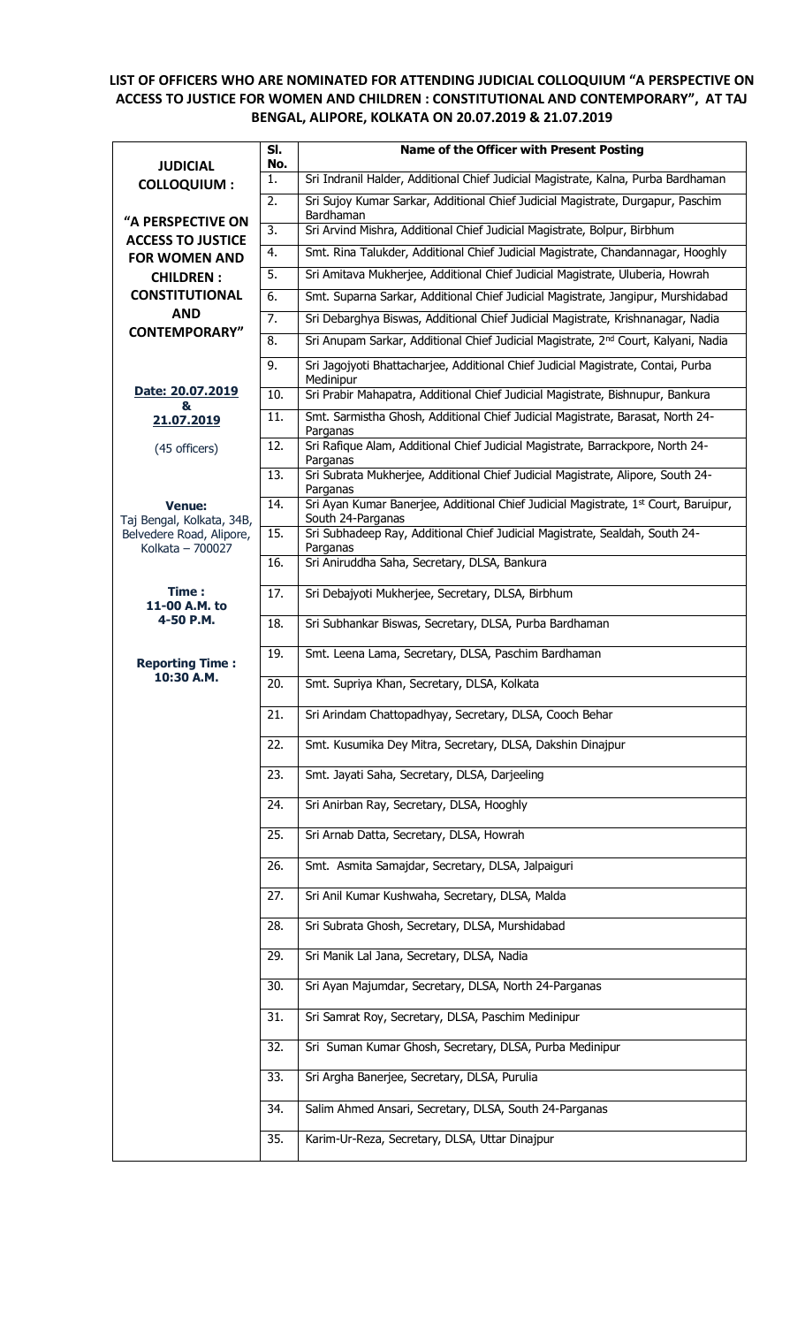## **LIST OF OFFICERS WHO ARE NOMINATED FOR ATTENDING JUDICIAL COLLOQUIUM "A PERSPECTIVE ON ACCESS TO JUSTICE FOR WOMEN AND CHILDREN : CONSTITUTIONAL AND CONTEMPORARY", AT TAJ BENGAL, ALIPORE, KOLKATA ON 20.07.2019 & 21.07.2019**

| <b>JUDICIAL</b>                               | SI.<br>No.        | <b>Name of the Officer with Present Posting</b>                                                          |
|-----------------------------------------------|-------------------|----------------------------------------------------------------------------------------------------------|
| <b>COLLOQUIUM:</b>                            | 1.                | Sri Indranil Halder, Additional Chief Judicial Magistrate, Kalna, Purba Bardhaman                        |
|                                               | 2.                | Sri Sujoy Kumar Sarkar, Additional Chief Judicial Magistrate, Durgapur, Paschim<br>Bardhaman             |
| "A PERSPECTIVE ON<br><b>ACCESS TO JUSTICE</b> | 3.                | Sri Arvind Mishra, Additional Chief Judicial Magistrate, Bolpur, Birbhum                                 |
| <b>FOR WOMEN AND</b>                          | 4.                | Smt. Rina Talukder, Additional Chief Judicial Magistrate, Chandannagar, Hooghly                          |
| <b>CHILDREN:</b>                              | 5.                | Sri Amitava Mukherjee, Additional Chief Judicial Magistrate, Uluberia, Howrah                            |
| <b>CONSTITUTIONAL</b>                         | 6.                | Smt. Suparna Sarkar, Additional Chief Judicial Magistrate, Jangipur, Murshidabad                         |
| <b>AND</b>                                    | 7.                | Sri Debarghya Biswas, Additional Chief Judicial Magistrate, Krishnanagar, Nadia                          |
| <b>CONTEMPORARY"</b>                          | 8.                | Sri Anupam Sarkar, Additional Chief Judicial Magistrate, 2 <sup>nd</sup> Court, Kalyani, Nadia           |
|                                               | 9.                | Sri Jagojyoti Bhattacharjee, Additional Chief Judicial Magistrate, Contai, Purba<br>Medinipur            |
| Date: 20.07.2019<br>&                         | 10.               | Sri Prabir Mahapatra, Additional Chief Judicial Magistrate, Bishnupur, Bankura                           |
| 21.07.2019                                    | 11.               | Smt. Sarmistha Ghosh, Additional Chief Judicial Magistrate, Barasat, North 24-<br>Parganas               |
| (45 officers)                                 | $\overline{12}$ . | Sri Rafique Alam, Additional Chief Judicial Magistrate, Barrackpore, North 24-<br>Parganas               |
|                                               | 13.               | Sri Subrata Mukherjee, Additional Chief Judicial Magistrate, Alipore, South 24-<br>Parganas              |
| <b>Venue:</b><br>Taj Bengal, Kolkata, 34B,    | 14.               | Sri Ayan Kumar Banerjee, Additional Chief Judicial Magistrate, 1st Court, Baruipur,<br>South 24-Parganas |
| Belvedere Road, Alipore,<br>Kolkata - 700027  | 15.               | Sri Subhadeep Ray, Additional Chief Judicial Magistrate, Sealdah, South 24-<br>Parganas                  |
|                                               | 16.               | Sri Aniruddha Saha, Secretary, DLSA, Bankura                                                             |
| Time:<br>11-00 A.M. to                        | 17.               | Sri Debajyoti Mukherjee, Secretary, DLSA, Birbhum                                                        |
| 4-50 P.M.                                     | 18.               | Sri Subhankar Biswas, Secretary, DLSA, Purba Bardhaman                                                   |
| <b>Reporting Time:</b><br>10:30 A.M.          | 19.               | Smt. Leena Lama, Secretary, DLSA, Paschim Bardhaman                                                      |
|                                               | 20.               | Smt. Supriya Khan, Secretary, DLSA, Kolkata                                                              |
|                                               | $\overline{21}$ . | Sri Arindam Chattopadhyay, Secretary, DLSA, Cooch Behar                                                  |
|                                               | 22.               | Smt. Kusumika Dey Mitra, Secretary, DLSA, Dakshin Dinajpur                                               |
|                                               | 23.               | Smt. Jayati Saha, Secretary, DLSA, Darjeeling                                                            |
|                                               | 24.               | Sri Anirban Ray, Secretary, DLSA, Hooghly                                                                |
|                                               | 25.               | Sri Arnab Datta, Secretary, DLSA, Howrah                                                                 |
|                                               | 26.               | Smt. Asmita Samajdar, Secretary, DLSA, Jalpaiguri                                                        |
|                                               | 27.               | Sri Anil Kumar Kushwaha, Secretary, DLSA, Malda                                                          |
|                                               | 28.               | Sri Subrata Ghosh, Secretary, DLSA, Murshidabad                                                          |
|                                               | 29.               | Sri Manik Lal Jana, Secretary, DLSA, Nadia                                                               |
|                                               | 30.               | Sri Ayan Majumdar, Secretary, DLSA, North 24-Parganas                                                    |
|                                               | 31.               | Sri Samrat Roy, Secretary, DLSA, Paschim Medinipur                                                       |
|                                               | 32.               | Sri Suman Kumar Ghosh, Secretary, DLSA, Purba Medinipur                                                  |
|                                               | 33.               | Sri Argha Banerjee, Secretary, DLSA, Purulia                                                             |
|                                               | 34.               | Salim Ahmed Ansari, Secretary, DLSA, South 24-Parganas                                                   |
|                                               | 35.               | Karim-Ur-Reza, Secretary, DLSA, Uttar Dinajpur                                                           |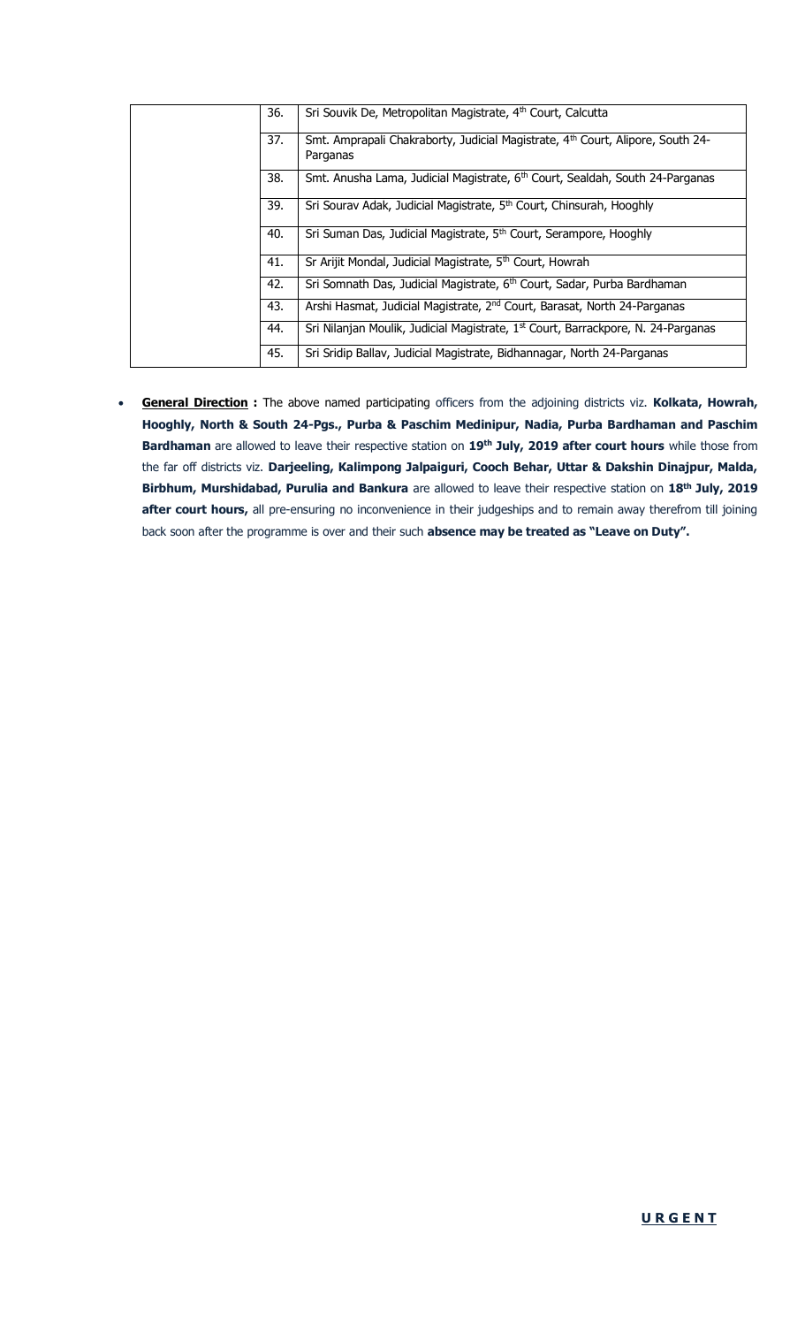|  | 36. | Sri Souvik De, Metropolitan Magistrate, 4 <sup>th</sup> Court, Calcutta                                |
|--|-----|--------------------------------------------------------------------------------------------------------|
|  | 37. | Smt. Amprapali Chakraborty, Judicial Magistrate, 4 <sup>th</sup> Court, Alipore, South 24-<br>Parganas |
|  | 38. | Smt. Anusha Lama, Judicial Magistrate, 6 <sup>th</sup> Court, Sealdah, South 24-Parganas               |
|  | 39. | Sri Sourav Adak, Judicial Magistrate, 5 <sup>th</sup> Court, Chinsurah, Hooghly                        |
|  | 40. | Sri Suman Das, Judicial Magistrate, 5 <sup>th</sup> Court, Serampore, Hooghly                          |
|  | 41. | Sr Arijit Mondal, Judicial Magistrate, 5 <sup>th</sup> Court, Howrah                                   |
|  | 42. | Sri Somnath Das, Judicial Magistrate, 6 <sup>th</sup> Court, Sadar, Purba Bardhaman                    |
|  | 43. | Arshi Hasmat, Judicial Magistrate, 2 <sup>nd</sup> Court, Barasat, North 24-Parganas                   |
|  | 44. | Sri Nilanjan Moulik, Judicial Magistrate, 1 <sup>st</sup> Court, Barrackpore, N. 24-Parganas           |
|  | 45. | Sri Sridip Ballav, Judicial Magistrate, Bidhannagar, North 24-Parganas                                 |

 **General Direction :** The above named participating officers from the adjoining districts viz. **Kolkata, Howrah, Hooghly, North & South 24-Pgs., Purba & Paschim Medinipur, Nadia, Purba Bardhaman and Paschim Bardhaman** are allowed to leave their respective station on **19th July, 2019 after court hours** while those from the far off districts viz. **Darjeeling, Kalimpong Jalpaiguri, Cooch Behar, Uttar & Dakshin Dinajpur, Malda, Birbhum, Murshidabad, Purulia and Bankura** are allowed to leave their respective station on **18th July, 2019 after court hours,** all pre-ensuring no inconvenience in their judgeships and to remain away therefrom till joining back soon after the programme is over and their such **absence may be treated as "Leave on Duty".**